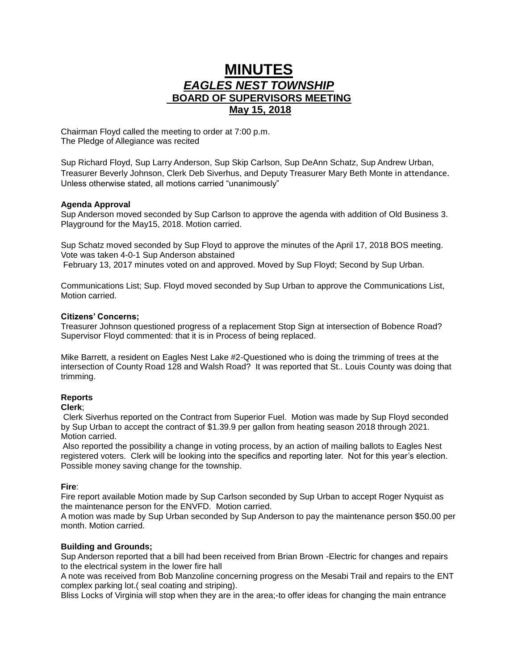# **MINUTES** *EAGLES NEST TOWNSHIP*  **BOARD OF SUPERVISORS MEETING May 15, 2018**

Chairman Floyd called the meeting to order at 7:00 p.m. The Pledge of Allegiance was recited

Sup Richard Floyd, Sup Larry Anderson, Sup Skip Carlson, Sup DeAnn Schatz, Sup Andrew Urban, Treasurer Beverly Johnson, Clerk Deb Siverhus, and Deputy Treasurer Mary Beth Monte in attendance. Unless otherwise stated, all motions carried "unanimously"

# **Agenda Approval**

Sup Anderson moved seconded by Sup Carlson to approve the agenda with addition of Old Business 3. Playground for the May15, 2018. Motion carried.

Sup Schatz moved seconded by Sup Floyd to approve the minutes of the April 17, 2018 BOS meeting. Vote was taken 4-0-1 Sup Anderson abstained February 13, 2017 minutes voted on and approved. Moved by Sup Floyd; Second by Sup Urban.

Communications List; Sup. Floyd moved seconded by Sup Urban to approve the Communications List, Motion carried.

# **Citizens' Concerns;**

Treasurer Johnson questioned progress of a replacement Stop Sign at intersection of Bobence Road? Supervisor Floyd commented: that it is in Process of being replaced.

Mike Barrett, a resident on Eagles Nest Lake #2-Questioned who is doing the trimming of trees at the intersection of County Road 128 and Walsh Road? It was reported that St.. Louis County was doing that trimming.

# **Reports**

## **Clerk**;

Clerk Siverhus reported on the Contract from Superior Fuel. Motion was made by Sup Floyd seconded by Sup Urban to accept the contract of \$1.39.9 per gallon from heating season 2018 through 2021. Motion carried.

Also reported the possibility a change in voting process, by an action of mailing ballots to Eagles Nest registered voters. Clerk will be looking into the specifics and reporting later. Not for this year's election. Possible money saving change for the township.

## **Fire**:

Fire report available Motion made by Sup Carlson seconded by Sup Urban to accept Roger Nyquist as the maintenance person for the ENVFD. Motion carried.

A motion was made by Sup Urban seconded by Sup Anderson to pay the maintenance person \$50.00 per month. Motion carried.

# **Building and Grounds;**

Sup Anderson reported that a bill had been received from Brian Brown -Electric for changes and repairs to the electrical system in the lower fire hall

A note was received from Bob Manzoline concerning progress on the Mesabi Trail and repairs to the ENT complex parking lot.( seal coating and striping).

Bliss Locks of Virginia will stop when they are in the area;-to offer ideas for changing the main entrance